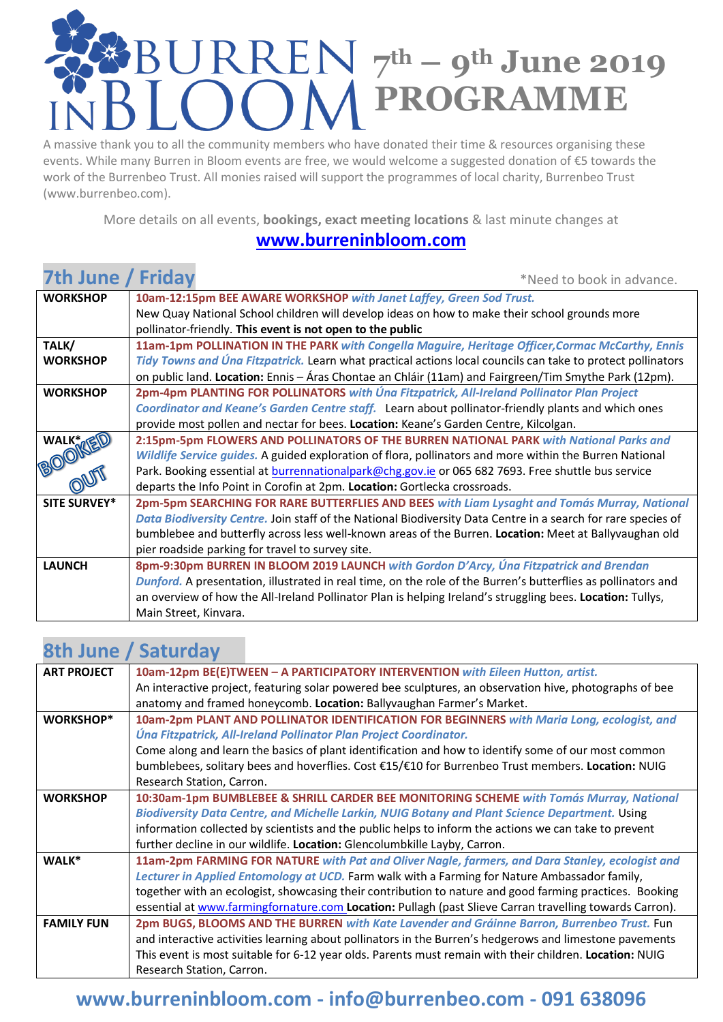# **7th – 9th June 2019 PROGRAMME**

A massive thank you to all the community members who have donated their time & resources organising these events. While many Burren in Bloom events are free, we would welcome a suggested donation of €5 towards the work of the Burrenbeo Trust. All monies raised will support the programmes of local charity, Burrenbeo Trust (www.burrenbeo.com).

More details on all events, **bookings, exact meeting locations** & last minute changes at

#### **[www.burreninbloom.com](http://www.burreninbloom.com/)**

| 7th June / Friday   | *Need to book in advance.                                                                                     |  |
|---------------------|---------------------------------------------------------------------------------------------------------------|--|
| <b>WORKSHOP</b>     | 10am-12:15pm BEE AWARE WORKSHOP with Janet Laffey, Green Sod Trust.                                           |  |
|                     | New Quay National School children will develop ideas on how to make their school grounds more                 |  |
|                     | pollinator-friendly. This event is not open to the public                                                     |  |
| TALK/               | 11am-1pm POLLINATION IN THE PARK with Congella Maguire, Heritage Officer, Cormac McCarthy, Ennis              |  |
| <b>WORKSHOP</b>     | Tidy Towns and Úna Fitzpatrick. Learn what practical actions local councils can take to protect pollinators   |  |
|                     | on public land. Location: Ennis - Áras Chontae an Chláir (11am) and Fairgreen/Tim Smythe Park (12pm).         |  |
| <b>WORKSHOP</b>     | 2pm-4pm PLANTING FOR POLLINATORS with Úna Fitzpatrick, All-Ireland Pollinator Plan Project                    |  |
|                     | Coordinator and Keane's Garden Centre staff. Learn about pollinator-friendly plants and which ones            |  |
|                     | provide most pollen and nectar for bees. Location: Keane's Garden Centre, Kilcolgan.                          |  |
| WALK TED            | 2:15pm-5pm FLOWERS AND POLLINATORS OF THE BURREN NATIONAL PARK with National Parks and                        |  |
|                     | Wildlife Service guides. A guided exploration of flora, pollinators and more within the Burren National       |  |
|                     | Park. Booking essential at burrennationalpark@chg.gov.ie or 065 682 7693. Free shuttle bus service            |  |
|                     | departs the Info Point in Corofin at 2pm. Location: Gortlecka crossroads.                                     |  |
| <b>SITE SURVEY*</b> | 2pm-5pm SEARCHING FOR RARE BUTTERFLIES AND BEES with Liam Lysaght and Tomás Murray, National                  |  |
|                     | Data Biodiversity Centre. Join staff of the National Biodiversity Data Centre in a search for rare species of |  |
|                     | bumblebee and butterfly across less well-known areas of the Burren. Location: Meet at Ballyvaughan old        |  |
|                     | pier roadside parking for travel to survey site.                                                              |  |
| <b>LAUNCH</b>       | 8pm-9:30pm BURREN IN BLOOM 2019 LAUNCH with Gordon D'Arcy, Una Fitzpatrick and Brendan                        |  |
|                     | Dunford. A presentation, illustrated in real time, on the role of the Burren's butterflies as pollinators and |  |
|                     | an overview of how the All-Ireland Pollinator Plan is helping Ireland's struggling bees. Location: Tullys,    |  |
|                     | Main Street, Kinvara.                                                                                         |  |

# **8th June / Saturday**

| <b>ART PROJECT</b> | 10am-12pm BE(E)TWEEN - A PARTICIPATORY INTERVENTION with Eileen Hutton, artist.                         |
|--------------------|---------------------------------------------------------------------------------------------------------|
|                    | An interactive project, featuring solar powered bee sculptures, an observation hive, photographs of bee |
|                    | anatomy and framed honeycomb. Location: Ballyvaughan Farmer's Market.                                   |
| <b>WORKSHOP*</b>   | 10am-2pm PLANT AND POLLINATOR IDENTIFICATION FOR BEGINNERS with Maria Long, ecologist, and              |
|                    | Úna Fitzpatrick, All-Ireland Pollinator Plan Project Coordinator.                                       |
|                    | Come along and learn the basics of plant identification and how to identify some of our most common     |
|                    | bumblebees, solitary bees and hoverflies. Cost €15/€10 for Burrenbeo Trust members. Location: NUIG      |
|                    | Research Station, Carron.                                                                               |
| <b>WORKSHOP</b>    | 10:30am-1pm BUMBLEBEE & SHRILL CARDER BEE MONITORING SCHEME with Tomás Murray, National                 |
|                    | Biodiversity Data Centre, and Michelle Larkin, NUIG Botany and Plant Science Department. Using          |
|                    | information collected by scientists and the public helps to inform the actions we can take to prevent   |
|                    | further decline in our wildlife. Location: Glencolumbkille Layby, Carron.                               |
| WALK*              | 11am-2pm FARMING FOR NATURE with Pat and Oliver Nagle, farmers, and Dara Stanley, ecologist and         |
|                    | Lecturer in Applied Entomology at UCD. Farm walk with a Farming for Nature Ambassador family,           |
|                    | together with an ecologist, showcasing their contribution to nature and good farming practices. Booking |
|                    | essential at www.farmingfornature.com Location: Pullagh (past Slieve Carran travelling towards Carron). |
| <b>FAMILY FUN</b>  | 2pm BUGS, BLOOMS AND THE BURREN with Kate Lavender and Gráinne Barron, Burrenbeo Trust. Fun             |
|                    | and interactive activities learning about pollinators in the Burren's hedgerows and limestone pavements |
|                    | This event is most suitable for 6-12 year olds. Parents must remain with their children. Location: NUIG |
|                    | Research Station, Carron.                                                                               |
|                    |                                                                                                         |

### **[www.burreninbloom.com](http://www.burreninbloom.com/) - [info@burrenbeo.com](mailto:info@burrenbeo.com) - 091 638096**